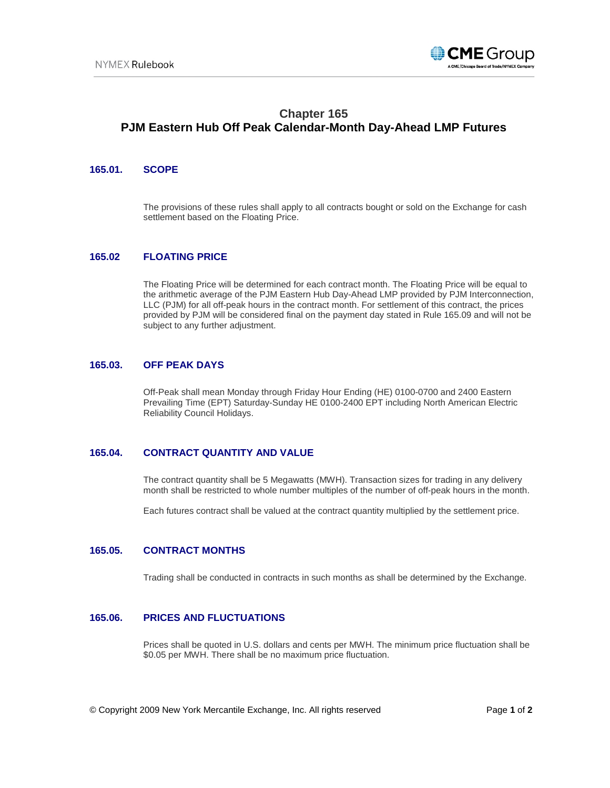

# **Chapter 165 PJM Eastern Hub Off Peak Calendar-Month Day-Ahead LMP Futures**

## **165.01. SCOPE**

The provisions of these rules shall apply to all contracts bought or sold on the Exchange for cash settlement based on the Floating Price.

### **165.02 FLOATING PRICE**

The Floating Price will be determined for each contract month. The Floating Price will be equal to the arithmetic average of the PJM Eastern Hub Day-Ahead LMP provided by PJM Interconnection, LLC (PJM) for all off-peak hours in the contract month. For settlement of this contract, the prices provided by PJM will be considered final on the payment day stated in Rule 165.09 and will not be subject to any further adjustment.

#### **165.03. OFF PEAK DAYS**

Off-Peak shall mean Monday through Friday Hour Ending (HE) 0100-0700 and 2400 Eastern Prevailing Time (EPT) Saturday-Sunday HE 0100-2400 EPT including North American Electric Reliability Council Holidays.

# **165.04. CONTRACT QUANTITY AND VALUE**

The contract quantity shall be 5 Megawatts (MWH). Transaction sizes for trading in any delivery month shall be restricted to whole number multiples of the number of off-peak hours in the month.

Each futures contract shall be valued at the contract quantity multiplied by the settlement price.

#### **165.05. CONTRACT MONTHS**

Trading shall be conducted in contracts in such months as shall be determined by the Exchange.

#### **165.06. PRICES AND FLUCTUATIONS**

Prices shall be quoted in U.S. dollars and cents per MWH. The minimum price fluctuation shall be \$0.05 per MWH. There shall be no maximum price fluctuation.